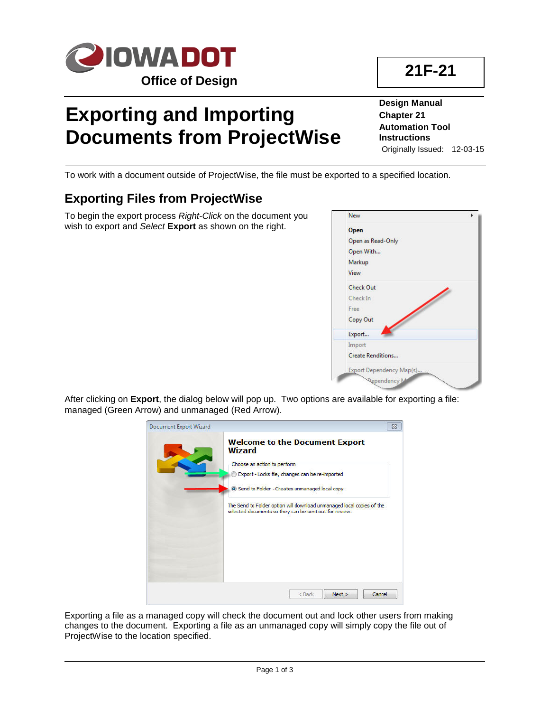

# **Exporting and Importing Documents from ProjectWise**

**Design Manual Chapter 21 Automation Tool Instructions** Originally Issued: 12-03-15

To work with a document outside of ProjectWise, the file must be exported to a specified location.

## **Exporting Files from ProjectWise**

To begin the export process *Right-Click* on the document you wish to export and *Select* **Export** as shown on the right.

#### After clicking on **Export**, the dialog below will pop up. Two options are available for exporting a file: managed (Green Arrow) and unmanaged (Red Arrow).

| <b>Document Export Wizard</b> |                                                                                                                                                                                                                                                                                                                              | $\Sigma$ |
|-------------------------------|------------------------------------------------------------------------------------------------------------------------------------------------------------------------------------------------------------------------------------------------------------------------------------------------------------------------------|----------|
|                               | <b>Welcome to the Document Export</b><br><b>Wizard</b><br>Choose an action to perform<br>Export - Locks file, changes can be re-imported<br>Send to Folder - Creates unmanaged local copy<br>The Send to Folder option will download unmanaged local copies of the<br>selected documents so they can be sent out for review. |          |
|                               | $<$ Back<br>Next<br>Cancel                                                                                                                                                                                                                                                                                                   |          |

Exporting a file as a managed copy will check the document out and lock other users from making changes to the document. Exporting a file as an unmanaged copy will simply copy the file out of ProjectWise to the location specified.



| Open              |  |
|-------------------|--|
| Open as Read-Only |  |
| Open With         |  |
| Markup            |  |
| View              |  |
| <b>Check Out</b>  |  |
| Check In          |  |
| Free              |  |
| Copy Out          |  |
| Export            |  |
|                   |  |
| Import            |  |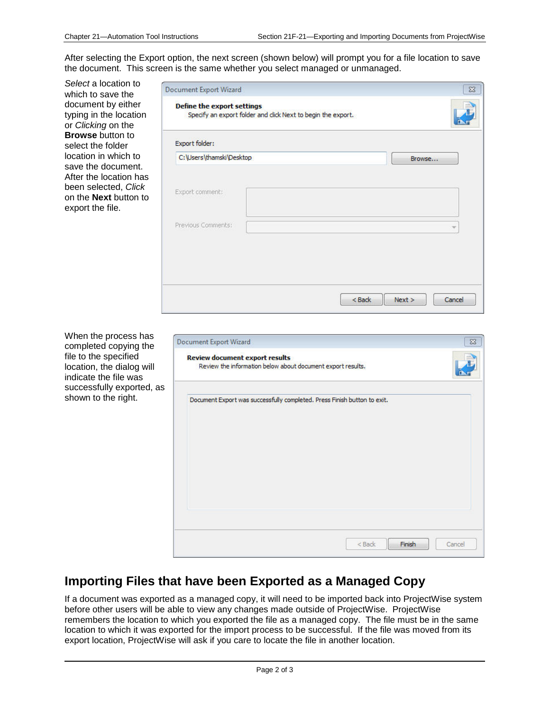After selecting the Export option, the next screen (shown below) will prompt you for a file location to save the document. This screen is the same whether you select managed or unmanaged.

*Select* a location to which to save the document by either typing in the location or *Clicking* on the **Browse** button to select the folder location in which to save the document. After the location has been selected, *Click* on the **Next** button to export the file.

| Export folder:           |  |        |
|--------------------------|--|--------|
| C:\Users\thamski\Desktop |  | Browse |
|                          |  |        |
| Export comment:          |  |        |
|                          |  |        |
| Previous Comments:       |  |        |
|                          |  |        |

When the process has completed copying the file to the specified location, the dialog will indicate the file was successfully exported, as shown to the right.

| <b>Document Export Wizard</b><br><b>Review document export results</b>   |  |  |
|--------------------------------------------------------------------------|--|--|
| Review the information below about document export results.              |  |  |
| Document Export was successfully completed. Press Finish button to exit. |  |  |
|                                                                          |  |  |
|                                                                          |  |  |
|                                                                          |  |  |
|                                                                          |  |  |
|                                                                          |  |  |
|                                                                          |  |  |

### **Importing Files that have been Exported as a Managed Copy**

If a document was exported as a managed copy, it will need to be imported back into ProjectWise system before other users will be able to view any changes made outside of ProjectWise. ProjectWise remembers the location to which you exported the file as a managed copy. The file must be in the same location to which it was exported for the import process to be successful. If the file was moved from its export location, ProjectWise will ask if you care to locate the file in another location.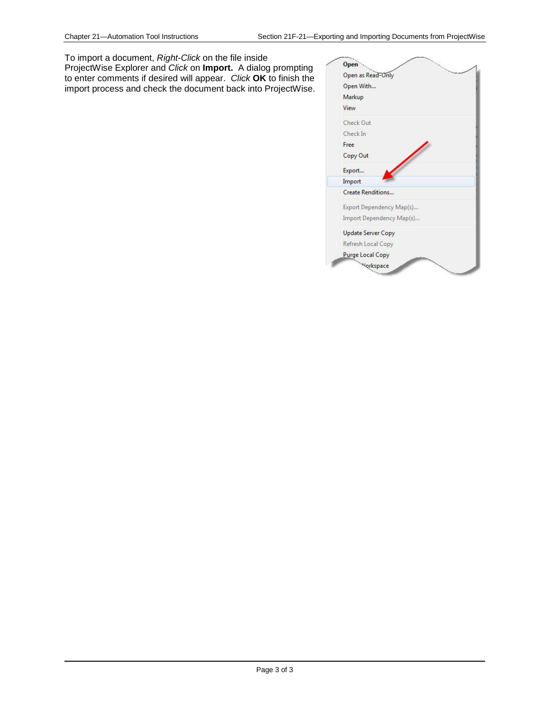To import a document, *Right-Click* on the file inside ProjectWise Explorer and *Click* on **Import.** A dialog prompting to enter comments if desired will appear. *Click* **OK** to finish the import process and check the document back into ProjectWise.

| Open        |                           |  |
|-------------|---------------------------|--|
|             | Open as Read-Only         |  |
| Open With   |                           |  |
| Markup      |                           |  |
| <b>View</b> |                           |  |
| Check Out   |                           |  |
| Check In    |                           |  |
| Free        |                           |  |
| Copy Out    |                           |  |
| Export      |                           |  |
| Import      |                           |  |
|             | <b>Create Renditions</b>  |  |
|             | Export Dependency Map(s)  |  |
|             | Import Dependency Map(s)  |  |
|             | <b>Update Server Copy</b> |  |
|             | Refresh Local Copy        |  |
|             | <b>Purge Local Copy</b>   |  |
|             | <b>Morkspace</b>          |  |